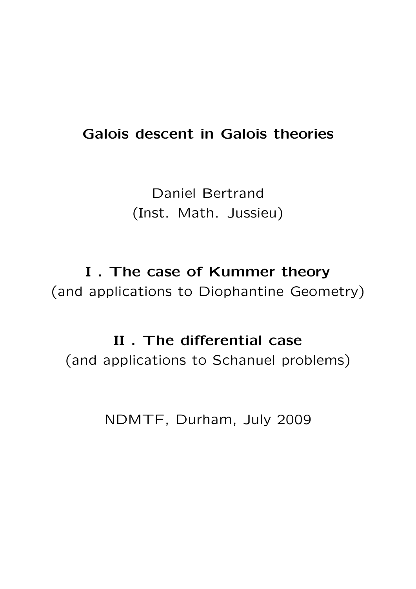## Galois descent in Galois theories

Daniel Bertrand (Inst. Math. Jussieu)

I . The case of Kummer theory (and applications to Diophantine Geometry)

#### II . The differential case

(and applications to Schanuel problems)

NDMTF, Durham, July 2009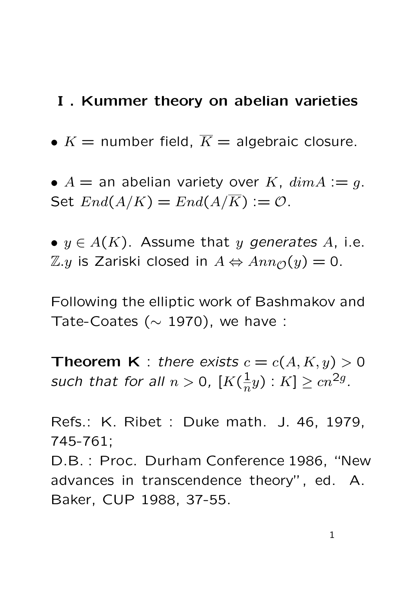#### I . Kummer theory on abelian varieties

- $K =$  number field,  $\overline{K} =$  algebraic closure.
- $A =$  an abelian variety over K,  $dim A := q$ . Set  $End(A/K) = End(A/\overline{K}) := \mathcal{O}.$

•  $y \in A(K)$ . Assume that y generates A, i.e.  $\mathbb{Z}.y$  is Zariski closed in  $A$  ⇔  $Ann_{\mathcal{O}}(y) = 0$ .

Following the elliptic work of Bashmakov and Tate-Coates ( $\sim$  1970), we have :

**Theorem K** : there exists  $c = c(A, K, y) > 0$ such that for all  $n > 0$ ,  $[K(\frac{1}{n})]$  $(\frac{1}{n}y)$  :  $K$ ]  $\geq cn^{2g}$ .

Refs.: K. Ribet : Duke math. J. 46, 1979, 745-761; D.B. : Proc. Durham Conference 1986, "New advances in transcendence theory", ed. A. Baker, CUP 1988, 37-55.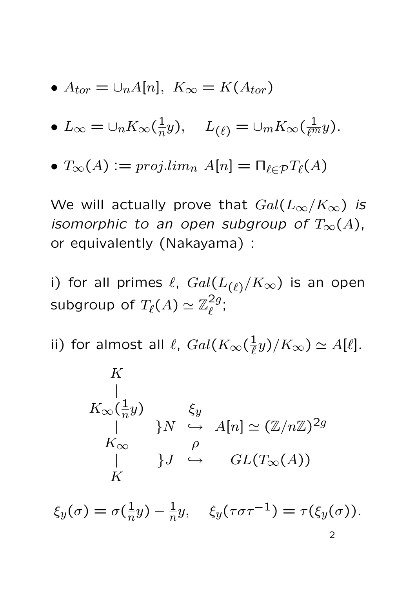• 
$$
A_{tor} = \bigcup_n A[n], \ K_{\infty} = K(A_{tor})
$$

• 
$$
L_{\infty} = \bigcup_n K_{\infty}(\frac{1}{n}y), \quad L_{(\ell)} = \bigcup_m K_{\infty}(\frac{1}{\ell^m}y).
$$

• 
$$
T_{\infty}(A) := proj.lim_n A[n] = \prod_{\ell \in \mathcal{P}} T_{\ell}(A)
$$

We will actually prove that  $Gal(L_{\infty}/K_{\infty})$  is isomorphic to an open subgroup of  $T_{\infty}(A)$ , or equivalently (Nakayama) :

i) for all primes  $\ell$ ,  $Gal(L_{(\ell)}/K_{\infty})$  is an open subgroup of  $T_\ell(A) \simeq \mathbb{Z}_\ell^{2g}$  $z$ g.<br> $\ell$ 

ii) for almost all  $\ell$ ,  $Gal(K_{\infty}(\frac{1}{\ell}))$  $(\frac{1}{\ell}y)/K_{\infty}) \simeq A[\ell].$ 

$$
K
$$
\n
$$
K_{\infty}(\frac{1}{n}y)
$$
\n
$$
K_{\infty} \qquad \text{or} \qquad \text{and} \qquad A[n] \simeq (\mathbb{Z}/n\mathbb{Z})^{2g}
$$
\n
$$
K_{\infty} \qquad \text{or} \qquad \text{or} \qquad GL(T_{\infty}(A))
$$
\n
$$
K
$$

 $\xi_y(\sigma)=\sigma(\frac{1}{n}$  $(\frac{1}{n}y) - \frac{1}{n}y, \quad \xi_y(\tau \sigma \tau^{-1}) = \tau(\xi_y(\sigma)).$ 2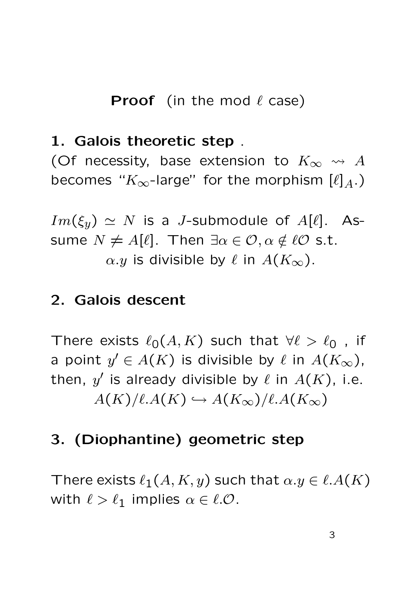## **Proof** (in the mod  $\ell$  case)

#### 1. Galois theoretic step .

(Of necessity, base extension to  $K_{\infty} \rightsquigarrow A$ becomes " $K_{\infty}$ -large" for the morphism  $[\ell]_A$ .)

 $Im(\xi_y) \simeq N$  is a *J*-submodule of  $A[\ell]$ . Assume  $N \neq A[\ell]$ . Then  $\exists \alpha \in \mathcal{O}, \alpha \notin \ell \mathcal{O}$  s.t.  $\alpha.y$  is divisible by  $\ell$  in  $A(K_{\infty})$ .

#### 2. Galois descent

There exists  $\ell_0(A, K)$  such that  $\forall \ell > \ell_0$ , if a point  $y' \in A(K)$  is divisible by  $\ell$  in  $A(K_\infty)$ , then,  $y'$  is already divisible by  $\ell$  in  $A(K)$ , i.e.  $A(K)/\ell.A(K) \hookrightarrow A(K_{\infty})/\ell.A(K_{\infty})$ 

## 3. (Diophantine) geometric step

There exists  $\ell_1(A, K, y)$  such that  $\alpha.y \in \ell.A(K)$ with  $\ell > \ell_1$  implies  $\alpha \in \ell$ .O.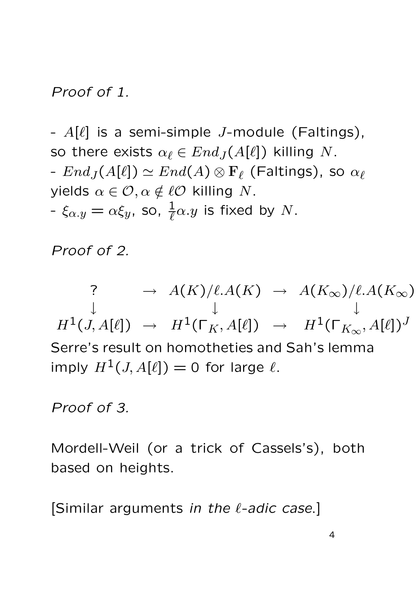#### Proof of 1.

-  $A[\ell]$  is a semi-simple *J*-module (Faltings), so there exists  $\alpha_{\ell} \in End_{J}(A[\ell])$  killing N.  $-Fnd<sub>J</sub>(A[\ell]) \simeq End(A) \otimes \mathbf{F}_{\ell}$  (Faltings), so  $\alpha_{\ell}$ yields  $\alpha \in \mathcal{O}, \alpha \notin \ell \mathcal{O}$  killing N. -  $\xi_{\alpha.y}=\alpha \xi_y$ , so,  $\frac{1}{\ell}\alpha.y$  is fixed by  $N.$ 

Proof of 2.

?  $\rightarrow A(K)/\ell A(K) \rightarrow A(K_{\infty})/\ell A(K_{\infty})$ ↓ ↓ ↓  $H^1(J, A[\ell]) \rightarrow H^1(\Gamma_K, A[\ell]) \rightarrow H^1(\Gamma_{K_{\infty}}, A[\ell])^J$ Serre's result on homotheties and Sah's lemma imply  $H^1(J, A[\ell]) = 0$  for large  $\ell$ .

Proof of 3.

Mordell-Weil (or a trick of Cassels's), both based on heights.

[Similar arguments in the  $\ell$ -adic case.]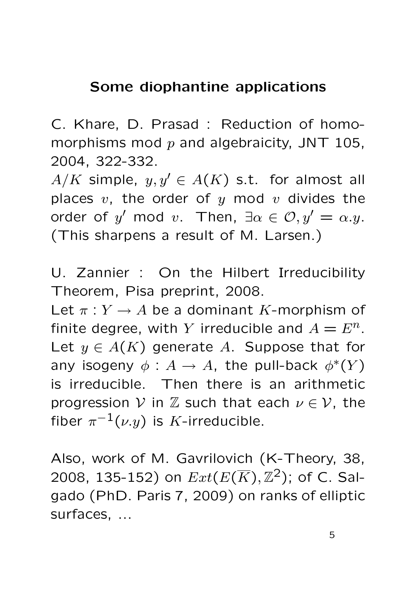## Some diophantine applications

C. Khare, D. Prasad : Reduction of homomorphisms mod  $p$  and algebraicity, JNT 105, 2004, 322-332.

 $A/K$  simple,  $y, y' \in A(K)$  s.t. for almost all places  $v$ , the order of  $y$  mod  $v$  divides the order of  $y'$  mod  $v$ . Then,  $\exists \alpha \in \mathcal{O}, y' = \alpha.y$ . (This sharpens a result of M. Larsen.)

U. Zannier : On the Hilbert Irreducibility Theorem, Pisa preprint, 2008.

Let  $\pi: Y \to A$  be a dominant K-morphism of finite degree, with Y irreducible and  $A = E<sup>n</sup>$ . Let  $y \in A(K)$  generate A. Suppose that for any isogeny  $\phi: A \to A$ , the pull-back  $\phi^*(Y)$ is irreducible. Then there is an arithmetic progression V in Z such that each  $\nu \in \mathcal{V}$ , the fiber  $\pi^{-1}(\nu.y)$  is  $K$ -irreducible.

Also, work of M. Gavrilovich (K-Theory, 38, 2008, 135-152) on  $Ext(E(\overline{K}),\mathbb{Z}^2)$ ; of C. Salgado (PhD. Paris 7, 2009) on ranks of elliptic surfaces, ...

5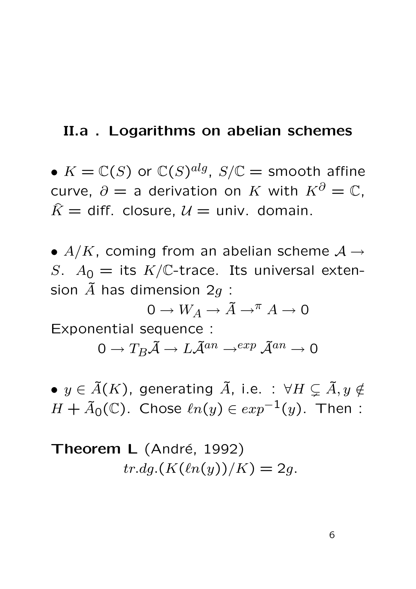#### II.a . Logarithms on abelian schemes

•  $K = \mathbb{C}(S)$  or  $\mathbb{C}(S)^{alg}, S/\mathbb{C} =$  smooth affine curve,  $\partial =$  a derivation on K with  $K^{\partial} = \mathbb{C}$ .  $\hat{K}$  = diff. closure,  $\mathcal{U}$  = univ. domain.

•  $A/K$ , coming from an abelian scheme  $A \rightarrow$ S.  $A_0 =$  its  $K/C$ -trace. Its universal extension  $\tilde{A}$  has dimension 2g :

 $0 \to W_A \to \tilde{A} \to^\pi A \to 0$ Exponential sequence :

 $0 \to T_B \widetilde{\mathcal{A}} \to L \widetilde{\mathcal{A}}^{an} \to^{exp} \widetilde{\mathcal{A}}^{an} \to 0$ 

•  $y \in \tilde{A}(K)$ , generating  $\tilde{A}$ , i.e. :  $\forall H \subsetneq \tilde{A}, y \notin \tilde{A}$  $H + \tilde{A}_0(\mathbb{C})$ . Chose  $\ell n(y) \in exp^{-1}(y)$ . Then :

Theorem L (André, 1992)  $tr.dg.(K(\ell n(y))/K) = 2g.$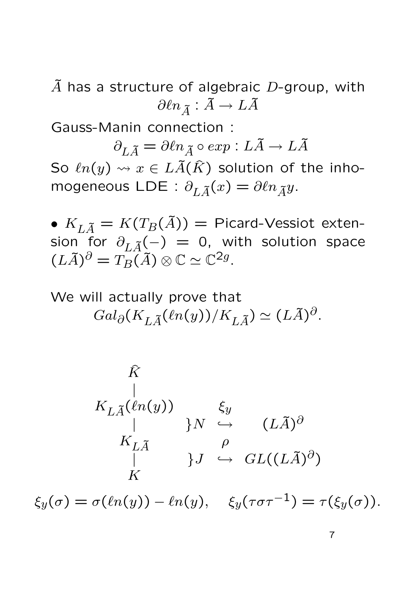$\tilde{A}$  has a structure of algebraic D-group, with  $\partial \ell n_{\widetilde{A}} : \widetilde{A} \to L \widetilde{A}$ 

Gauss-Manin connection :

 $\partial_{L,\tilde{A}} = \partial \ell n_{\tilde{A}} \circ exp : L\tilde{A} \to L\tilde{A}$ So  $ln(y) \rightsquigarrow x \in L\tilde{A}(\hat{K})$  solution of the inhomogeneous LDE :  $\partial_{L\tilde{A}}(x) = \partial \ln_{\tilde{A}} y$ .

•  $K_{L\tilde{A}} = K(T_B(\tilde{A})) =$  Picard-Vessiot extension for  $\partial_{L\tilde{A}}(-) = 0$ , with solution space  $(L\widetilde{A})^{\partial} = T_B(\widetilde{A}) \otimes \mathbb{C} \simeq \mathbb{C}^{2g}.$ 

We will actually prove that  $Gal_{\partial}(K_{L\tilde{A}}(\ell n(y))/K_{L\tilde{A}}) \simeq (L\tilde{A})^{\partial}.$ 

$$
\hat{K}
$$
\n
$$
K_{L\tilde{A}}(\ell n(y))
$$
\n
$$
K_{L\tilde{A}} \qquad \qquad \beta
$$
\n
$$
K_{L\tilde{A}} \qquad \qquad \beta
$$
\n
$$
K
$$
\n
$$
\xi_y(\sigma) = \sigma(\ell n(y)) - \ell n(y), \quad \xi_y(\tau \sigma \tau^{-1}) = \tau(\xi_y(\sigma)).
$$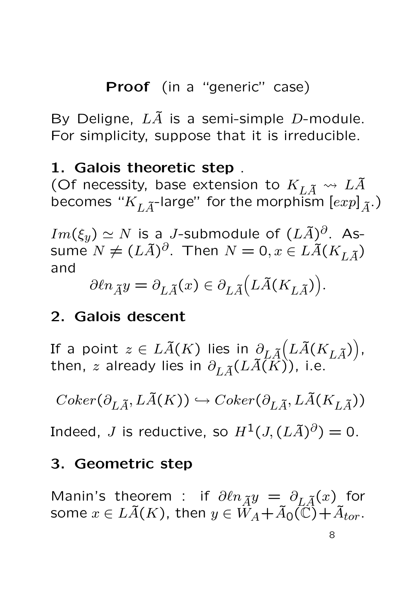Proof (in a "generic" case)

By Deligne,  $L\tilde{A}$  is a semi-simple D-module. For simplicity, suppose that it is irreducible.

## 1. Galois theoretic step .

(Of necessity, base extension to  $K_{L\tilde{A}}\leadsto L\tilde{A}$ becomes " $K_{L\tilde{A}}$ -large" for the morphism  $[exp]_{\tilde{A}}$ .)

 $Im(\xi_y)\simeq N$  is a  $J$ -submodule of  $(L\widetilde A)^{\partial}.$  Assume  $N\neq (L\tilde{A})^{\partial}.$  Then  $N=0, x\in L\tilde{A}(K_{L\tilde{A}})$ and

$$
\partial \ell n_{\tilde{A}} y = \partial_{L\tilde{A}}(x) \in \partial_{L\tilde{A}} (L\tilde{A}(K_{L\tilde{A}})).
$$

# 2. Galois descent

If a point  $z\in L\tilde{A}(K)$  lies in  $\partial_{L\tilde{A}}\bigl(L\tilde{A}(K_{L\tilde{A}})\bigr),$ then,  $z$  already lies in  $\partial_{L\widetilde{A}}(L\widetilde{A(K)}),$  i.e.

$$
Coker(\partial_{L\tilde{A}},L\tilde{A}(K))\hookrightarrow Coker(\partial_{L\tilde{A}},L\tilde{A}(K_{L\tilde{A}}))
$$

Indeed,  $J$  is reductive, so  $H^1(J,(L\widetilde{A})^{\partial})=0.$ 

## 3. Geometric step

Manin's theorem : if  $\partial \ell n_{\tilde{A}}y = \partial_{L\tilde{A}}(x)$  for some  $x \in L\tilde{A}(K)$ , then  $y \in \tilde{W}_A + \tilde{A}_0(\tilde{\mathbb{C}}) + \tilde{A}_{tor}$ .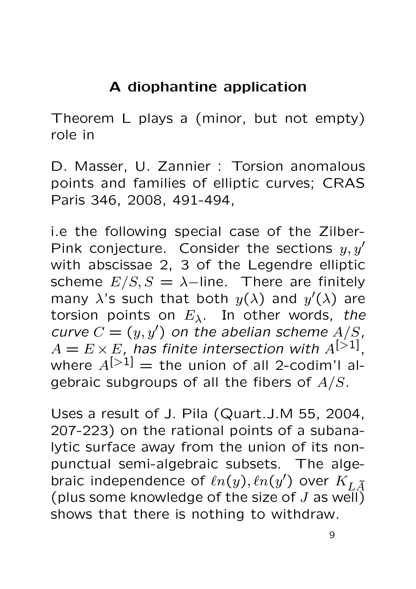# A diophantine application

Theorem L plays a (minor, but not empty) role in

D. Masser, U. Zannier : Torsion anomalous points and families of elliptic curves; CRAS Paris 346, 2008, 491-494,

i.e the following special case of the Zilber-Pink conjecture. Consider the sections  $y, y'$ with abscissae 2, 3 of the Legendre elliptic scheme  $E/S$ ,  $S = \lambda$ -line. There are finitely many  $\lambda$ 's such that both  $y(\lambda)$  and  $y'(\lambda)$  are torsion points on  $E_{\lambda}$ . In other words, the curve  $C = (y, y')$  on the abelian scheme  $A/S$ ,  $A = E \times E$ , has finite intersection with  $A^{[>1]}$ , where  $A^{[\geq 1]}$  = the union of all 2-codim'l algebraic subgroups of all the fibers of  $A/S$ .

Uses a result of J. Pila (Quart.J.M 55, 2004, 207-223) on the rational points of a subanalytic surface away from the union of its nonpunctual semi-algebraic subsets. The algebraic independence of  $\ell n(y), \ell n(y')$  over  $K_{L\tilde{A}}$ (plus some knowledge of the size of J as well) shows that there is nothing to withdraw.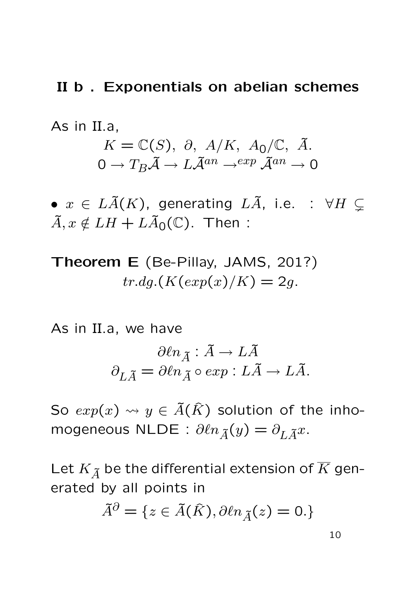#### II b . Exponentials on abelian schemes

As in II.a,

$$
K = \mathbb{C}(S), \ \partial, \ A/K, \ A_0/\mathbb{C}, \ \tilde{A}.
$$

$$
0 \to T_B \tilde{A} \to L \tilde{A}^{an} \to^{exp} \tilde{A}^{an} \to 0
$$

•  $x \in L\tilde{A}(K)$ , generating  $L\tilde{A}$ , i.e. :  $\forall H \subsetneq$  $\tilde{A}, x \notin LH + L\tilde{A}_0(\mathbb{C})$ . Then :

Theorem E (Be-Pillay, JAMS, 201?)  $tr.dq.(K(exp(x)/K) = 2q.$ 

As in II.a, we have

$$
\partial \ell n_{\tilde{A}}: \tilde{A} \to L \tilde{A}
$$

$$
\partial_{L \tilde{A}} = \partial \ell n_{\tilde{A}} \circ \exp: L \tilde{A} \to L \tilde{A}.
$$

So  $exp(x) \rightsquigarrow y \in \tilde{A}(\hat{K})$  solution of the inhomogeneous NLDE :  $\partial \ell n_{\tilde{A}}(y) = \partial_{L\tilde{A}}x$ .

Let  $K_{\widetilde{A}}$  be the differential extension of  $\overline{K}$  generated by all points in

$$
\tilde{A}^{\partial} = \{ z \in \tilde{A}(\hat{K}), \partial \ell n_{\tilde{A}}(z) = 0. \}
$$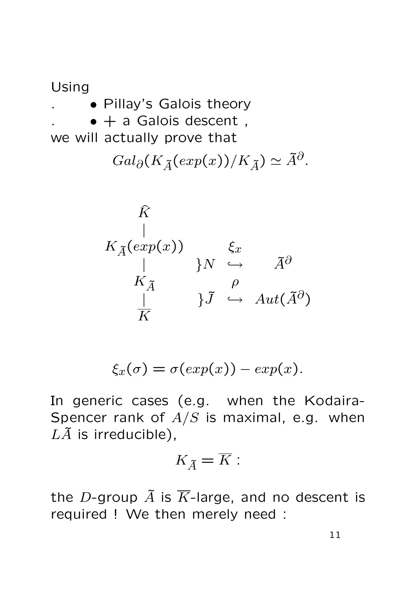Using . • Pillay's Galois theory  $\bullet$  + a Galois descent, we will actually prove that  $Gal_{\partial}(K_{\tilde{A}}(exp(x))/K_{\tilde{A}}) \simeq \tilde{A}^{\partial}.$ 

$$
\hat{K} \downarrow
$$
\n
$$
K_{\tilde{A}}(exp(x)) \downarrow \hat{K}
$$
\n
$$
K_{\tilde{A}} \downarrow \qquad \qquad \hat{N} \stackrel{\rho}{\hookrightarrow} \qquad \tilde{A}^{\partial}
$$
\n
$$
\downarrow \qquad \qquad \hat{J} \stackrel{\rho}{\hookrightarrow} \qquad Aut(\tilde{A}^{\partial})
$$

$$
\xi_x(\sigma) = \sigma(\exp(x)) - \exp(x).
$$

In generic cases (e.g. when the Kodaira-Spencer rank of  $A/S$  is maximal, e.g. when  $L\tilde{A}$  is irreducible),

$$
K_{\widetilde{A}}=\overline{K}:
$$

the D-group  $\tilde{A}$  is  $\overline{K}$ -large, and no descent is required ! We then merely need :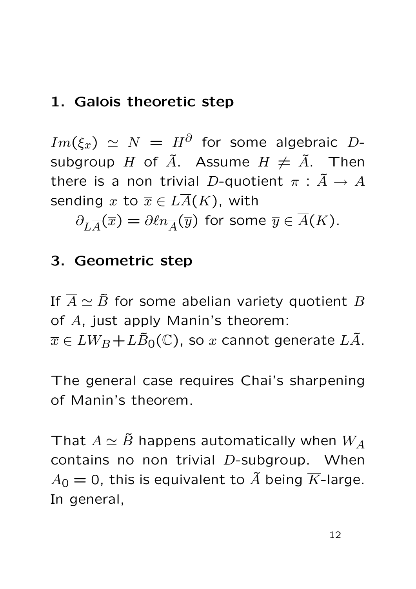## 1. Galois theoretic step

 $Im(\xi_x) \; \simeq \; N \; = \; H^{\partial}$  for some algebraic  $D$ subgroup H of  $\tilde{A}$ . Assume  $H \neq \tilde{A}$ . Then there is a non trivial D-quotient  $\pi : \tilde{A} \to \overline{A}$ sending x to  $\overline{x} \in L\overline{A}(K)$ , with

 $\partial_{L\overline{A}}(\overline{x}) = \partial \ell n_{\overline{A}}(\overline{y})$  for some  $\overline{y} \in \overline{A}(K)$ .

## 3. Geometric step

If  $\overline{A} \simeq \overline{B}$  for some abelian variety quotient B of A, just apply Manin's theorem:  $\overline{x} \in LW_B+L\overline{B}_0(\mathbb{C})$ , so x cannot generate  $L\overline{A}$ .

The general case requires Chai's sharpening of Manin's theorem.

That  $\overline{A} \simeq \overline{B}$  happens automatically when  $W_A$ contains no non trivial D-subgroup. When  $A_0 = 0$ , this is equivalent to  $\tilde{A}$  being  $\overline{K}$ -large. In general,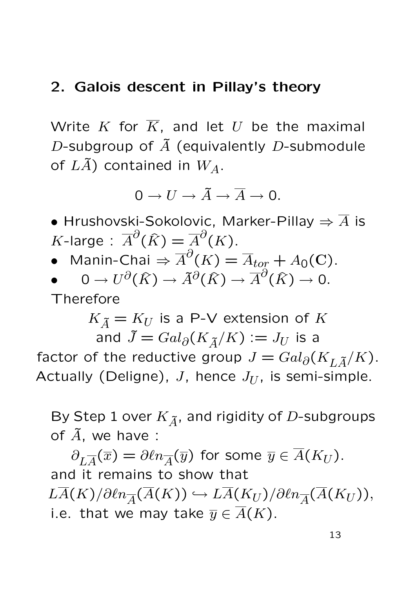#### 2. Galois descent in Pillay's theory

Write  $K$  for  $\overline{K}$ , and let  $U$  be the maximal D-subgroup of  $\tilde{A}$  (equivalently D-submodule of  $L\tilde{A}$ ) contained in  $W_A$ .

$$
0 \to U \to \tilde{A} \to \overline{A} \to 0.
$$

- Hrushovski-Sokolovic, Marker-Pillay  $\Rightarrow \overline{A}$  is  $K$ -large :  $\overline{A}^\partial(\widehat{K}) = \overline{A}^\partial(K)$ .
- Manin-Chai  $\Rightarrow \overline{A}^\partial(K) = \overline{A}_{tor} + A_0(\mathbf{C})$ .
- $\bullet \quad \quad 0 \rightarrow U^{\partial}(\widehat{K}) \rightarrow \widetilde{A}^{\partial}(\widehat{K}) \rightarrow \overline{A}^{\partial}(\widehat{K}) \rightarrow 0.$ Therefore

 $K_{\tilde{A}} = K_U$  is a P-V extension of K and  $\tilde{J} = Gal_{\partial}(K_{\tilde{A}}/K) := J_U$  is a factor of the reductive group  $J = Gal_{\partial}(K_{L,\tilde{A}}/K)$ . Actually (Deligne), J, hence  $J_{U}$ , is semi-simple.

By Step 1 over  $K_{\tilde{A}}$ , and rigidity of D-subgroups of  $\tilde{A}$ , we have :

 $\partial_{L\overline{A}}(\overline{x})=\partial \ell n_{\overline{A}}(\overline{y})$  for some  $\overline{y}\in \overline{A}(K_U).$ and it remains to show that  $L\overline{A}(K)/\partial \ell n_{\overline{A}}(\overline{A}(K)) \hookrightarrow L\overline{A}(K_U)/\partial \ell n_{\overline{A}}(\overline{A}(K_U)),$ i.e. that we may take  $\overline{y} \in \overline{A}(K)$ .